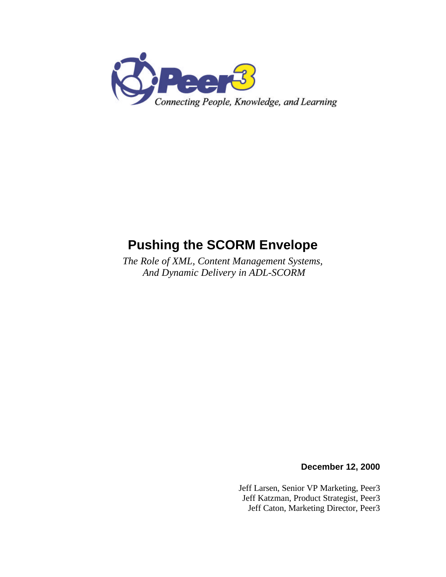

# **Pushing the SCORM Envelope**

*The Role of XML, Content Management Systems, And Dynamic Delivery in ADL-SCORM*

**December 12, 2000**

Jeff Larsen, Senior VP Marketing, Peer3 Jeff Katzman, Product Strategist, Peer3 Jeff Caton, Marketing Director, Peer3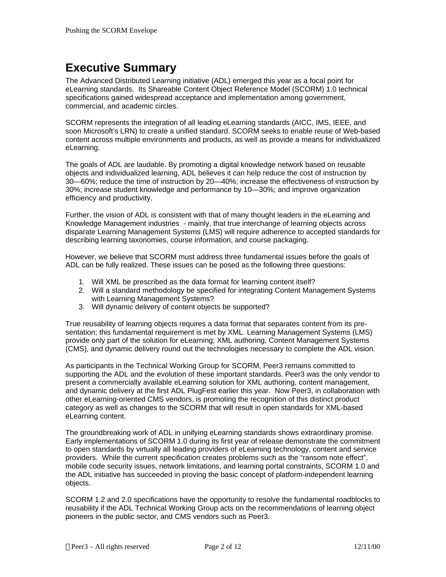### **Executive Summary**

The Advanced Distributed Learning initiative (ADL) emerged this year as a focal point for eLearning standards. Its Shareable Content Object Reference Model (SCORM) 1.0 technical specifications gained widespread acceptance and implementation among government, commercial, and academic circles.

SCORM represents the integration of all leading eLearning standards (AICC, IMS, IEEE, and soon Microsoft's LRN) to create a unified standard. SCORM seeks to enable reuse of Web-based content across multiple environments and products, as well as provide a means for individualized eLearning.

The goals of ADL are laudable. By promoting a digital knowledge network based on reusable objects and individualized learning, ADL believes it can help reduce the cost of instruction by 30—60%; reduce the time of instruction by 20—40%; increase the effectiveness of instruction by 30%; increase student knowledge and performance by 10—30%; and improve organization efficiency and productivity.

Further, the vision of ADL is consistent with that of many thought leaders in the eLearning and Knowledge Management industries - mainly, that true interchange of learning objects across disparate Learning Management Systems (LMS) will require adherence to accepted standards for describing learning taxonomies, course information, and course packaging.

However, we believe that SCORM must address three fundamental issues before the goals of ADL can be fully realized. These issues can be posed as the following three questions:

- 1. Will XML be prescribed as the data format for learning content itself?
- 2. Will a standard methodology be specified for integrating Content Management Systems with Learning Management Systems?
- 3. Will dynamic delivery of content objects be supported?

True reusability of learning objects requires a data format that separates content from its presentation; this fundamental requirement is met by XML. Learning Management Systems (LMS) provide only part of the solution for eLearning; XML authoring, Content Management Systems (CMS), and dynamic delivery round out the technologies necessary to complete the ADL vision.

As participants in the Technical Working Group for SCORM, Peer3 remains committed to supporting the ADL and the evolution of these important standards. Peer3 was the only vendor to present a commercially available eLearning solution for XML authoring, content management, and dynamic delivery at the first ADL PlugFest earlier this year. Now Peer3, in collaboration with other eLearning-oriented CMS vendors, is promoting the recognition of this distinct product category as well as changes to the SCORM that will result in open standards for XML-based eLearning content.

The groundbreaking work of ADL in unifying eLearning standards shows extraordinary promise. Early implementations of SCORM 1.0 during its first year of release demonstrate the commitment to open standards by virtually all leading providers of eLearning technology, content and service providers. While the current specification creates problems such as the "ransom note effect", mobile code security issues, network limitations, and learning portal constraints, SCORM 1.0 and the ADL initiative has succeeded in proving the basic concept of platform-independent learning objects.

SCORM 1.2 and 2.0 specifications have the opportunity to resolve the fundamental roadblocks to reusability if the ADL Technical Working Group acts on the recommendations of learning object pioneers in the public sector, and CMS vendors such as Peer3.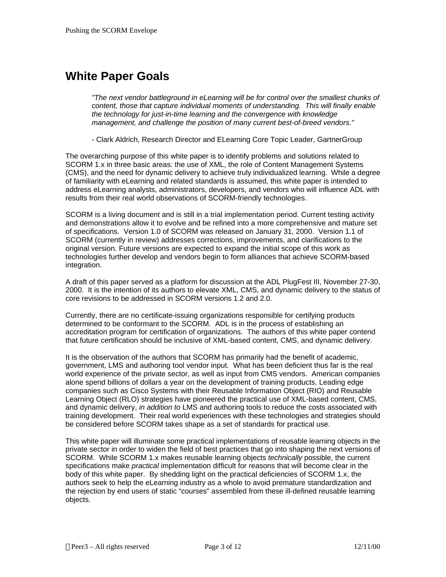### **White Paper Goals**

*"The next vendor battleground in eLearning will be for control over the smallest chunks of content, those that capture individual moments of understanding. This will finally enable the technology for just-in-time learning and the convergence with knowledge management, and challenge the position of many current best-of-breed vendors."*

- Clark Aldrich, Research Director and ELearning Core Topic Leader, GartnerGroup

The overarching purpose of this white paper is to identify problems and solutions related to SCORM 1.x in three basic areas: the use of XML, the role of Content Management Systems (CMS), and the need for dynamic delivery to achieve truly individualized learning. While a degree of familiarity with eLearning and related standards is assumed, this white paper is intended to address eLearning analysts, administrators, developers, and vendors who will influence ADL with results from their real world observations of SCORM-friendly technologies.

SCORM is a living document and is still in a trial implementation period. Current testing activity and demonstrations allow it to evolve and be refined into a more comprehensive and mature set of specifications. Version 1.0 of SCORM was released on January 31, 2000. Version 1.1 of SCORM (currently in review) addresses corrections, improvements, and clarifications to the original version. Future versions are expected to expand the initial scope of this work as technologies further develop and vendors begin to form alliances that achieve SCORM-based integration.

A draft of this paper served as a platform for discussion at the ADL PlugFest III, November 27-30, 2000. It is the intention of its authors to elevate XML, CMS, and dynamic delivery to the status of core revisions to be addressed in SCORM versions 1.2 and 2.0.

Currently, there are no certificate-issuing organizations responsible for certifying products determined to be conformant to the SCORM. ADL is in the process of establishing an accreditation program for certification of organizations. The authors of this white paper contend that future certification should be inclusive of XML-based content, CMS, and dynamic delivery.

It is the observation of the authors that SCORM has primarily had the benefit of academic, government, LMS and authoring tool vendor input. What has been deficient thus far is the real world experience of the private sector, as well as input from CMS vendors. American companies alone spend billions of dollars a year on the development of training products. Leading edge companies such as Cisco Systems with their Reusable Information Object (RIO) and Reusable Learning Object (RLO) strategies have pioneered the practical use of XML-based content, CMS, and dynamic delivery, *in addition to* LMS and authoring tools to reduce the costs associated with training development. Their real world experiences with these technologies and strategies should be considered before SCORM takes shape as a set of standards for practical use.

This white paper will illuminate some practical implementations of reusable learning objects in the private sector in order to widen the field of best practices that go into shaping the next versions of SCORM. While SCORM 1.x makes reusable learning objects *technically* possible, the current specifications make *practical* implementation difficult for reasons that will become clear in the body of this white paper. By shedding light on the practical deficiencies of SCORM 1.x, the authors seek to help the eLearning industry as a whole to avoid premature standardization and the rejection by end users of static "courses" assembled from these ill-defined reusable learning objects.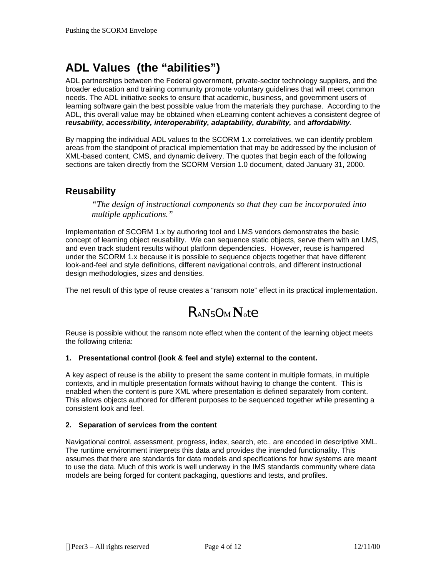## **ADL Values (the "abilities")**

ADL partnerships between the Federal government, private-sector technology suppliers, and the broader education and training community promote voluntary guidelines that will meet common needs. The ADL initiative seeks to ensure that academic, business, and government users of learning software gain the best possible value from the materials they purchase. According to the ADL, this overall value may be obtained when eLearning content achieves a consistent degree of *reusability, accessibility, interoperability, adaptability, durability,* and *affordability*.

By mapping the individual ADL values to the SCORM 1.x correlatives, we can identify problem areas from the standpoint of practical implementation that may be addressed by the inclusion of XML-based content, CMS, and dynamic delivery. The quotes that begin each of the following sections are taken directly from the SCORM Version 1.0 document, dated January 31, 2000.

#### **Reusability**

*"The design of instructional components so that they can be incorporated into multiple applications."*

Implementation of SCORM 1.x by authoring tool and LMS vendors demonstrates the basic concept of learning object reusability. We can sequence static objects, serve them with an LMS, and even track student results without platform dependencies. However, reuse is hampered under the SCORM 1.x because it is possible to sequence objects together that have different look-and-feel and style definitions, different navigational controls, and different instructional design methodologies, sizes and densities.

The net result of this type of reuse creates a "ransom note" effect in its practical implementation.

# RANSO<sup>M</sup> **N**ote

Reuse is possible without the ransom note effect when the content of the learning object meets the following criteria:

#### **1. Presentational control (look & feel and style) external to the content.**

A key aspect of reuse is the ability to present the same content in multiple formats, in multiple contexts, and in multiple presentation formats without having to change the content. This is enabled when the content is pure XML where presentation is defined separately from content. This allows objects authored for different purposes to be sequenced together while presenting a consistent look and feel.

#### **2. Separation of services from the content**

Navigational control, assessment, progress, index, search, etc., are encoded in descriptive XML. The runtime environment interprets this data and provides the intended functionality. This assumes that there are standards for data models and specifications for how systems are meant to use the data. Much of this work is well underway in the IMS standards community where data models are being forged for content packaging, questions and tests, and profiles.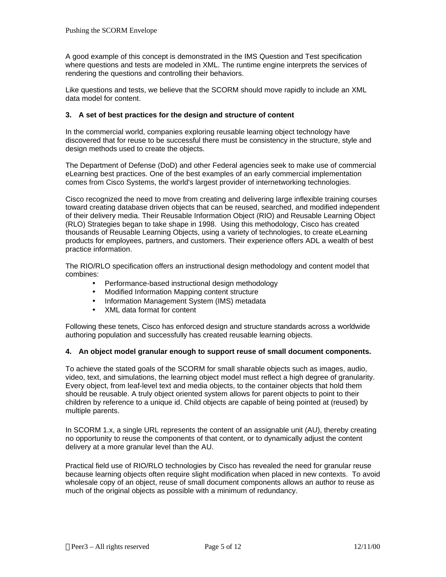A good example of this concept is demonstrated in the IMS Question and Test specification where questions and tests are modeled in XML. The runtime engine interprets the services of rendering the questions and controlling their behaviors.

Like questions and tests, we believe that the SCORM should move rapidly to include an XML data model for content.

#### **3. A set of best practices for the design and structure of content**

In the commercial world, companies exploring reusable learning object technology have discovered that for reuse to be successful there must be consistency in the structure, style and design methods used to create the objects.

The Department of Defense (DoD) and other Federal agencies seek to make use of commercial eLearning best practices. One of the best examples of an early commercial implementation comes from Cisco Systems, the world's largest provider of internetworking technologies.

Cisco recognized the need to move from creating and delivering large inflexible training courses toward creating database driven objects that can be reused, searched, and modified independent of their delivery media. Their Reusable Information Object (RIO) and Reusable Learning Object (RLO) Strategies began to take shape in 1998. Using this methodology, Cisco has created thousands of Reusable Learning Objects, using a variety of technologies, to create eLearning products for employees, partners, and customers. Their experience offers ADL a wealth of best practice information.

The RIO/RLO specification offers an instructional design methodology and content model that combines:

- Performance-based instructional design methodology
- Modified Information Mapping content structure
- Information Management System (IMS) metadata
- XML data format for content

Following these tenets, Cisco has enforced design and structure standards across a worldwide authoring population and successfully has created reusable learning objects.

#### **4. An object model granular enough to support reuse of small document components.**

To achieve the stated goals of the SCORM for small sharable objects such as images, audio, video, text, and simulations, the learning object model must reflect a high degree of granularity. Every object, from leaf-level text and media objects, to the container objects that hold them should be reusable. A truly object oriented system allows for parent objects to point to their children by reference to a unique id. Child objects are capable of being pointed at (reused) by multiple parents.

In SCORM 1.x, a single URL represents the content of an assignable unit (AU), thereby creating no opportunity to reuse the components of that content, or to dynamically adjust the content delivery at a more granular level than the AU.

Practical field use of RIO/RLO technologies by Cisco has revealed the need for granular reuse because learning objects often require slight modification when placed in new contexts. To avoid wholesale copy of an object, reuse of small document components allows an author to reuse as much of the original objects as possible with a minimum of redundancy.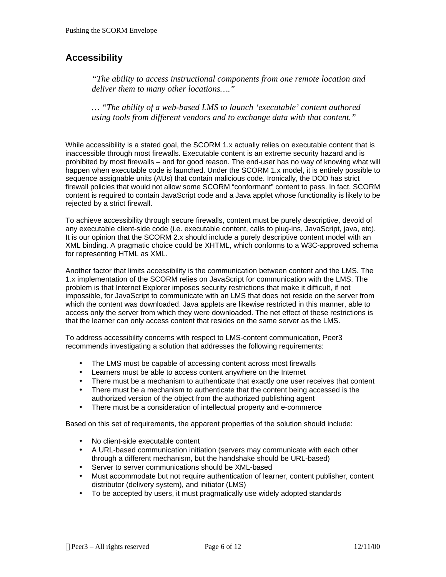### **Accessibility**

*"The ability to access instructional components from one remote location and deliver them to many other locations…."*

*… "The ability of a web-based LMS to launch 'executable' content authored using tools from different vendors and to exchange data with that content."*

While accessibility is a stated goal, the SCORM 1.x actually relies on executable content that is inaccessible through most firewalls. Executable content is an extreme security hazard and is prohibited by most firewalls – and for good reason. The end-user has no way of knowing what will happen when executable code is launched. Under the SCORM 1.x model, it is entirely possible to sequence assignable units (AUs) that contain malicious code. Ironically, the DOD has strict firewall policies that would not allow some SCORM "conformant" content to pass. In fact, SCORM content is required to contain JavaScript code and a Java applet whose functionality is likely to be rejected by a strict firewall.

To achieve accessibility through secure firewalls, content must be purely descriptive, devoid of any executable client-side code (i.e. executable content, calls to plug-ins, JavaScript, java, etc). It is our opinion that the SCORM 2.x should include a purely descriptive content model with an XML binding. A pragmatic choice could be XHTML, which conforms to a W3C-approved schema for representing HTML as XML.

Another factor that limits accessibility is the communication between content and the LMS. The 1.x implementation of the SCORM relies on JavaScript for communication with the LMS. The problem is that Internet Explorer imposes security restrictions that make it difficult, if not impossible, for JavaScript to communicate with an LMS that does not reside on the server from which the content was downloaded. Java applets are likewise restricted in this manner, able to access only the server from which they were downloaded. The net effect of these restrictions is that the learner can only access content that resides on the same server as the LMS.

To address accessibility concerns with respect to LMS-content communication, Peer3 recommends investigating a solution that addresses the following requirements:

- The LMS must be capable of accessing content across most firewalls
- Learners must be able to access content anywhere on the Internet
- There must be a mechanism to authenticate that exactly one user receives that content
- There must be a mechanism to authenticate that the content being accessed is the authorized version of the object from the authorized publishing agent
- There must be a consideration of intellectual property and e-commerce

Based on this set of requirements, the apparent properties of the solution should include:

- No client-side executable content
- A URL-based communication initiation (servers may communicate with each other through a different mechanism, but the handshake should be URL-based)
- Server to server communications should be XML-based
- Must accommodate but not require authentication of learner, content publisher, content distributor (delivery system), and initiator (LMS)
- To be accepted by users, it must pragmatically use widely adopted standards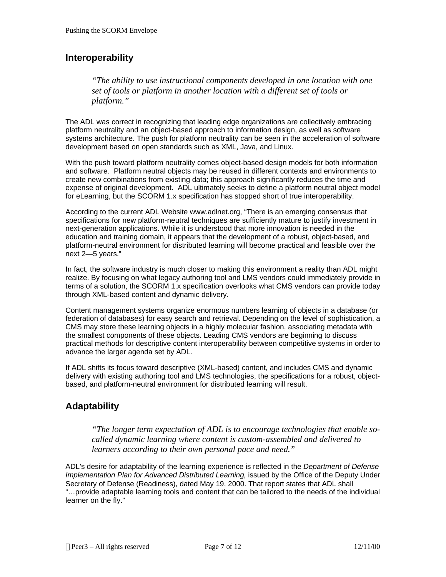### **Interoperability**

*"The ability to use instructional components developed in one location with one set of tools or platform in another location with a different set of tools or platform."*

The ADL was correct in recognizing that leading edge organizations are collectively embracing platform neutrality and an object-based approach to information design, as well as software systems architecture. The push for platform neutrality can be seen in the acceleration of software development based on open standards such as XML, Java, and Linux.

With the push toward platform neutrality comes object-based design models for both information and software. Platform neutral objects may be reused in different contexts and environments to create new combinations from existing data; this approach significantly reduces the time and expense of original development. ADL ultimately seeks to define a platform neutral object model for eLearning, but the SCORM 1.x specification has stopped short of true interoperability.

According to the current ADL Website www.adlnet.org, "There is an emerging consensus that specifications for new platform-neutral techniques are sufficiently mature to justify investment in next-generation applications. While it is understood that more innovation is needed in the education and training domain, it appears that the development of a robust, object-based, and platform-neutral environment for distributed learning will become practical and feasible over the next 2—5 years."

In fact, the software industry is much closer to making this environment a reality than ADL might realize. By focusing on what legacy authoring tool and LMS vendors could immediately provide in terms of a solution, the SCORM 1.x specification overlooks what CMS vendors can provide today through XML-based content and dynamic delivery.

Content management systems organize enormous numbers learning of objects in a database (or federation of databases) for easy search and retrieval. Depending on the level of sophistication, a CMS may store these learning objects in a highly molecular fashion, associating metadata with the smallest components of these objects. Leading CMS vendors are beginning to discuss practical methods for descriptive content interoperability between competitive systems in order to advance the larger agenda set by ADL.

If ADL shifts its focus toward descriptive (XML-based) content, and includes CMS and dynamic delivery with existing authoring tool and LMS technologies, the specifications for a robust, objectbased, and platform-neutral environment for distributed learning will result.

### **Adaptability**

*"The longer term expectation of ADL is to encourage technologies that enable socalled dynamic learning where content is custom-assembled and delivered to learners according to their own personal pace and need."*

ADL's desire for adaptability of the learning experience is reflected in the *Department of Defense Implementation Plan for Advanced Distributed Learning, issued by the Office of the Deputy Under* Secretary of Defense (Readiness), dated May 19, 2000. That report states that ADL shall "…provide adaptable learning tools and content that can be tailored to the needs of the individual learner on the fly."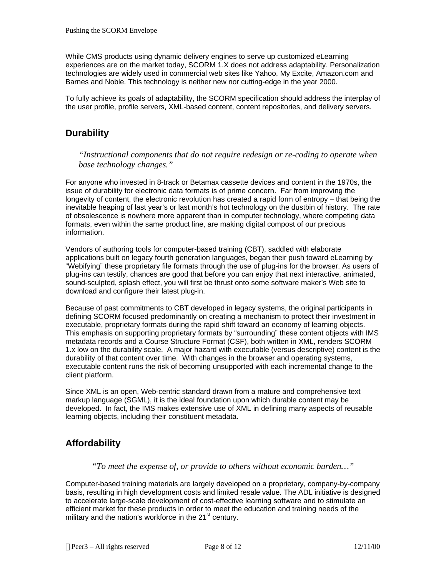While CMS products using dynamic delivery engines to serve up customized eLearning experiences are on the market today, SCORM 1.X does not address adaptability. Personalization technologies are widely used in commercial web sites like Yahoo, My Excite, Amazon.com and Barnes and Noble. This technology is neither new nor cutting-edge in the year 2000.

To fully achieve its goals of adaptability, the SCORM specification should address the interplay of the user profile, profile servers, XML-based content, content repositories, and delivery servers.

#### **Durability**

*"Instructional components that do not require redesign or re-coding to operate when base technology changes."*

For anyone who invested in 8-track or Betamax cassette devices and content in the 1970s, the issue of durability for electronic data formats is of prime concern. Far from improving the longevity of content, the electronic revolution has created a rapid form of entropy – that being the inevitable heaping of last year's or last month's hot technology on the dustbin of history. The rate of obsolescence is nowhere more apparent than in computer technology, where competing data formats, even within the same product line, are making digital compost of our precious information.

Vendors of authoring tools for computer-based training (CBT), saddled with elaborate applications built on legacy fourth generation languages, began their push toward eLearning by "Webifying" these proprietary file formats through the use of plug-ins for the browser. As users of plug-ins can testify, chances are good that before you can enjoy that next interactive, animated, sound-sculpted, splash effect, you will first be thrust onto some software maker's Web site to download and configure their latest plug-in.

Because of past commitments to CBT developed in legacy systems, the original participants in defining SCORM focused predominantly on creating a mechanism to protect their investment in executable, proprietary formats during the rapid shift toward an economy of learning objects. This emphasis on supporting proprietary formats by "surrounding" these content objects with IMS metadata records and a Course Structure Format (CSF), both written in XML, renders SCORM 1.x low on the durability scale. A major hazard with executable (versus descriptive) content is the durability of that content over time. With changes in the browser and operating systems, executable content runs the risk of becoming unsupported with each incremental change to the client platform.

Since XML is an open, Web-centric standard drawn from a mature and comprehensive text markup language (SGML), it is the ideal foundation upon which durable content may be developed. In fact, the IMS makes extensive use of XML in defining many aspects of reusable learning objects, including their constituent metadata.

### **Affordability**

*"To meet the expense of, or provide to others without economic burden…"*

Computer-based training materials are largely developed on a proprietary, company-by-company basis, resulting in high development costs and limited resale value. The ADL initiative is designed to accelerate large-scale development of cost-effective learning software and to stimulate an efficient market for these products in order to meet the education and training needs of the military and the nation's workforce in the  $21<sup>st</sup>$  century.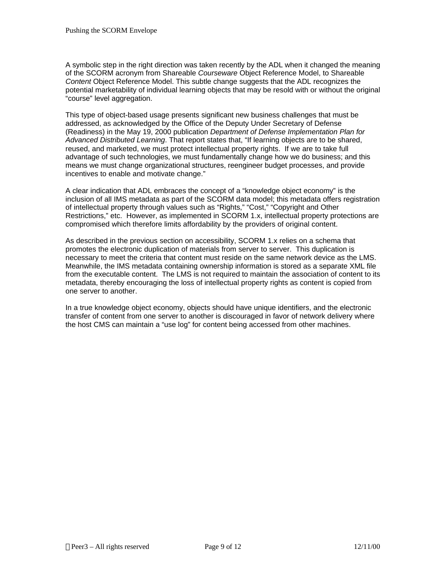A symbolic step in the right direction was taken recently by the ADL when it changed the meaning of the SCORM acronym from Shareable *Courseware* Object Reference Model, to Shareable *Content* Object Reference Model. This subtle change suggests that the ADL recognizes the potential marketability of individual learning objects that may be resold with or without the original "course" level aggregation.

This type of object-based usage presents significant new business challenges that must be addressed, as acknowledged by the Office of the Deputy Under Secretary of Defense (Readiness) in the May 19, 2000 publication *Department of Defense Implementation Plan for Advanced Distributed Learning*. That report states that, "If learning objects are to be shared, reused, and marketed, we must protect intellectual property rights. If we are to take full advantage of such technologies, we must fundamentally change how we do business; and this means we must change organizational structures, reengineer budget processes, and provide incentives to enable and motivate change."

A clear indication that ADL embraces the concept of a "knowledge object economy" is the inclusion of all IMS metadata as part of the SCORM data model; this metadata offers registration of intellectual property through values such as "Rights," "Cost," "Copyright and Other Restrictions," etc. However, as implemented in SCORM 1.x, intellectual property protections are compromised which therefore limits affordability by the providers of original content.

As described in the previous section on accessibility, SCORM 1.x relies on a schema that promotes the electronic duplication of materials from server to server. This duplication is necessary to meet the criteria that content must reside on the same network device as the LMS. Meanwhile, the IMS metadata containing ownership information is stored as a separate XML file from the executable content. The LMS is not required to maintain the association of content to its metadata, thereby encouraging the loss of intellectual property rights as content is copied from one server to another.

In a true knowledge object economy, objects should have unique identifiers, and the electronic transfer of content from one server to another is discouraged in favor of network delivery where the host CMS can maintain a "use log" for content being accessed from other machines.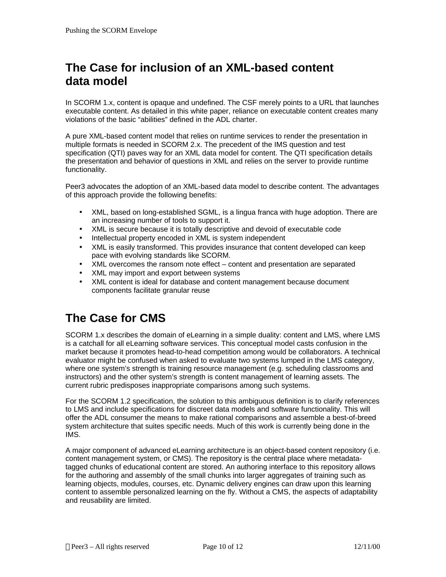## **The Case for inclusion of an XML-based content data model**

In SCORM 1.x, content is opaque and undefined. The CSF merely points to a URL that launches executable content. As detailed in this white paper, reliance on executable content creates many violations of the basic "abilities" defined in the ADL charter.

A pure XML-based content model that relies on runtime services to render the presentation in multiple formats is needed in SCORM 2.x. The precedent of the IMS question and test specification (QTI) paves way for an XML data model for content. The QTI specification details the presentation and behavior of questions in XML and relies on the server to provide runtime functionality.

Peer3 advocates the adoption of an XML-based data model to describe content. The advantages of this approach provide the following benefits:

- XML, based on long-established SGML, is a lingua franca with huge adoption. There are an increasing number of tools to support it.
- XML is secure because it is totally descriptive and devoid of executable code
- Intellectual property encoded in XML is system independent
- XML is easily transformed. This provides insurance that content developed can keep pace with evolving standards like SCORM.
- XML overcomes the ransom note effect content and presentation are separated
- XML may import and export between systems
- XML content is ideal for database and content management because document components facilitate granular reuse

## **The Case for CMS**

SCORM 1.x describes the domain of eLearning in a simple duality: content and LMS, where LMS is a catchall for all eLearning software services. This conceptual model casts confusion in the market because it promotes head-to-head competition among would be collaborators. A technical evaluator might be confused when asked to evaluate two systems lumped in the LMS category, where one system's strength is training resource management (e.g. scheduling classrooms and instructors) and the other system's strength is content management of learning assets. The current rubric predisposes inappropriate comparisons among such systems.

For the SCORM 1.2 specification, the solution to this ambiguous definition is to clarify references to LMS and include specifications for discreet data models and software functionality. This will offer the ADL consumer the means to make rational comparisons and assemble a best-of-breed system architecture that suites specific needs. Much of this work is currently being done in the IMS.

A major component of advanced eLearning architecture is an object-based content repository (i.e. content management system, or CMS). The repository is the central place where metadatatagged chunks of educational content are stored. An authoring interface to this repository allows for the authoring and assembly of the small chunks into larger aggregates of training such as learning objects, modules, courses, etc. Dynamic delivery engines can draw upon this learning content to assemble personalized learning on the fly. Without a CMS, the aspects of adaptability and reusability are limited.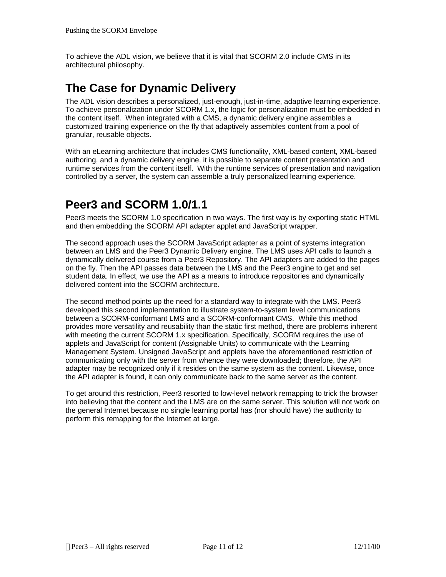To achieve the ADL vision, we believe that it is vital that SCORM 2.0 include CMS in its architectural philosophy.

## **The Case for Dynamic Delivery**

The ADL vision describes a personalized, just-enough, just-in-time, adaptive learning experience. To achieve personalization under SCORM 1.x, the logic for personalization must be embedded in the content itself. When integrated with a CMS, a dynamic delivery engine assembles a customized training experience on the fly that adaptively assembles content from a pool of granular, reusable objects.

With an eLearning architecture that includes CMS functionality, XML-based content, XML-based authoring, and a dynamic delivery engine, it is possible to separate content presentation and runtime services from the content itself. With the runtime services of presentation and navigation controlled by a server, the system can assemble a truly personalized learning experience.

## **Peer3 and SCORM 1.0/1.1**

Peer3 meets the SCORM 1.0 specification in two ways. The first way is by exporting static HTML and then embedding the SCORM API adapter applet and JavaScript wrapper.

The second approach uses the SCORM JavaScript adapter as a point of systems integration between an LMS and the Peer3 Dynamic Delivery engine. The LMS uses API calls to launch a dynamically delivered course from a Peer3 Repository. The API adapters are added to the pages on the fly. Then the API passes data between the LMS and the Peer3 engine to get and set student data. In effect, we use the API as a means to introduce repositories and dynamically delivered content into the SCORM architecture.

The second method points up the need for a standard way to integrate with the LMS. Peer3 developed this second implementation to illustrate system-to-system level communications between a SCORM-conformant LMS and a SCORM-conformant CMS. While this method provides more versatility and reusability than the static first method, there are problems inherent with meeting the current SCORM 1.x specification. Specifically, SCORM requires the use of applets and JavaScript for content (Assignable Units) to communicate with the Learning Management System. Unsigned JavaScript and applets have the aforementioned restriction of communicating only with the server from whence they were downloaded; therefore, the API adapter may be recognized only if it resides on the same system as the content. Likewise, once the API adapter is found, it can only communicate back to the same server as the content.

To get around this restriction, Peer3 resorted to low-level network remapping to trick the browser into believing that the content and the LMS are on the same server. This solution will not work on the general Internet because no single learning portal has (nor should have) the authority to perform this remapping for the Internet at large.